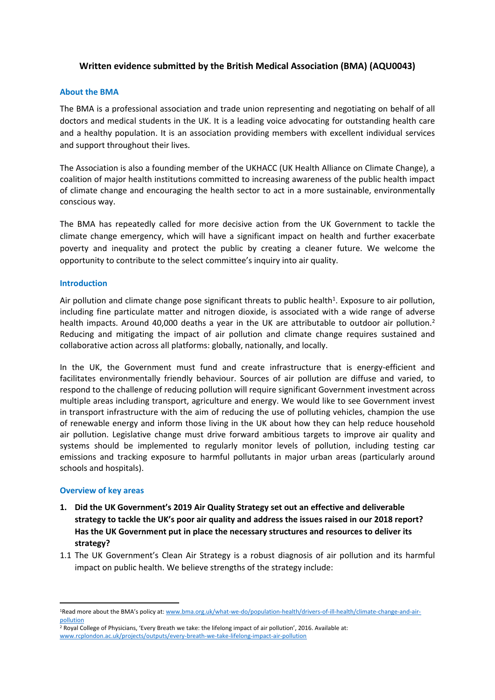## **Written evidence submitted by the British Medical Association (BMA) (AQU0043)**

## **About the BMA**

The BMA is a professional association and trade union representing and negotiating on behalf of all doctors and medical students in the UK. It is a leading voice advocating for outstanding health care and a healthy population. It is an association providing members with excellent individual services and support throughout their lives.

The Association is also a founding member of the UKHACC (UK Health Alliance on Climate Change), a coalition of major health institutions committed to increasing awareness of the public health impact of climate change and encouraging the health sector to act in a more sustainable, environmentally conscious way.

The BMA has repeatedly called for more decisive action from the UK Government to tackle the climate change emergency, which will have a significant impact on health and further exacerbate poverty and inequality and protect the public by creating a cleaner future. We welcome the opportunity to contribute to the select committee's inquiry into air quality.

## **Introduction**

Air pollution and climate change pose significant threats to public health<sup>1</sup>. Exposure to air pollution, including fine particulate matter and nitrogen dioxide, is associated with a wide range of adverse health impacts. Around 40,000 deaths a year in the UK are attributable to outdoor air pollution.<sup>2</sup> Reducing and mitigating the impact of air pollution and climate change requires sustained and collaborative action across all platforms: globally, nationally, and locally.

In the UK, the Government must fund and create infrastructure that is energy-efficient and facilitates environmentally friendly behaviour. Sources of air pollution are diffuse and varied, to respond to the challenge of reducing pollution will require significant Government investment across multiple areas including transport, agriculture and energy. We would like to see Government invest in transport infrastructure with the aim of reducing the use of polluting vehicles, champion the use of renewable energy and inform those living in the UK about how they can help reduce household air pollution. Legislative change must drive forward ambitious targets to improve air quality and systems should be implemented to regularly monitor levels of pollution, including testing car emissions and tracking exposure to harmful pollutants in major urban areas (particularly around schools and hospitals).

## **Overview of key areas**

- **1. Did the UK Government's 2019 Air Quality Strategy set out an effective and deliverable strategy to tackle the UK's poor air quality and address the issues raised in our 2018 report? Has the UK Government put in place the necessary structures and resources to deliver its strategy?**
- 1.1 The UK Government's Clean Air Strategy is a robust diagnosis of air pollution and its harmful impact on public health. We believe strengths of the strategy include:

<sup>1</sup>Read more about the BMA's policy at: [www.bma.org.uk/what-we-do/population-health/drivers-of-ill-health/climate-change-and-air](http://www.bma.org.uk/what-we-do/population-health/drivers-of-ill-health/climate-change-and-air-pollution)[pollution](http://www.bma.org.uk/what-we-do/population-health/drivers-of-ill-health/climate-change-and-air-pollution)

<sup>&</sup>lt;sup>2</sup> Royal College of Physicians, 'Every Breath we take: the lifelong impact of air pollution', 2016. Available at: [www.rcplondon.ac.uk/projects/outputs/every-breath-we-take-lifelong-impact-air-pollution](http://www.rcplondon.ac.uk/projects/outputs/every-breath-we-take-lifelong-impact-air-pollution)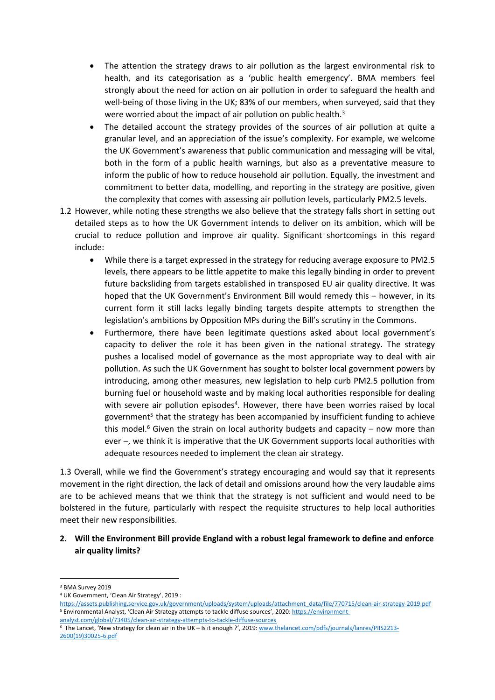- The attention the strategy draws to air pollution as the largest environmental risk to health, and its categorisation as a 'public health emergency'. BMA members feel strongly about the need for action on air pollution in order to safeguard the health and well-being of those living in the UK; 83% of our members, when surveyed, said that they were worried about the impact of air pollution on public health.<sup>3</sup>
- The detailed account the strategy provides of the sources of air pollution at quite a granular level, and an appreciation of the issue's complexity. For example, we welcome the UK Government's awareness that public communication and messaging will be vital, both in the form of a public health warnings, but also as a preventative measure to inform the public of how to reduce household air pollution. Equally, the investment and commitment to better data, modelling, and reporting in the strategy are positive, given the complexity that comes with assessing air pollution levels, particularly PM2.5 levels.
- 1.2 However, while noting these strengths we also believe that the strategy falls short in setting out detailed steps as to how the UK Government intends to deliver on its ambition, which will be crucial to reduce pollution and improve air quality. Significant shortcomings in this regard include:
	- While there is a target expressed in the strategy for reducing average exposure to PM2.5 levels, there appears to be little appetite to make this legally binding in order to prevent future backsliding from targets established in transposed EU air quality directive. It was hoped that the UK Government's Environment Bill would remedy this – however, in its current form it still lacks legally binding targets despite attempts to strengthen the legislation's ambitions by Opposition MPs during the Bill's scrutiny in the Commons.
	- Furthermore, there have been legitimate questions asked about local government's capacity to deliver the role it has been given in the national strategy. The strategy pushes a localised model of governance as the most appropriate way to deal with air pollution. As such the UK Government has sought to bolster local government powers by introducing, among other measures, new legislation to help curb PM2.5 pollution from burning fuel or household waste and by making local authorities responsible for dealing with severe air pollution episodes<sup>4</sup>. However, there have been worries raised by local government<sup>5</sup> that the strategy has been accompanied by insufficient funding to achieve this model. $6$  Given the strain on local authority budgets and capacity – now more than ever –, we think it is imperative that the UK Government supports local authorities with adequate resources needed to implement the clean air strategy.

1.3 Overall, while we find the Government's strategy encouraging and would say that it represents movement in the right direction, the lack of detail and omissions around how the very laudable aims are to be achieved means that we think that the strategy is not sufficient and would need to be bolstered in the future, particularly with respect the requisite structures to help local authorities meet their new responsibilities.

**2. Will the Environment Bill provide England with a robust legal framework to define and enforce air quality limits?** 

<sup>&</sup>lt;sup>3</sup> BMA Survey 2019

<sup>4</sup> UK Government, 'Clean Air Strategy', 2019 :

[https://assets.publishing.service.gov.uk/government/uploads/system/uploads/attachment\\_data/file/770715/clean-air-strategy-2019.pdf](https://assets.publishing.service.gov.uk/government/uploads/system/uploads/attachment_data/file/770715/clean-air-strategy-2019.pdf) <sup>5</sup> Environmental Analyst, 'Clean Air Strategy attempts to tackle diffuse sources', 2020: [https://environment](https://environment-analyst.com/global/73405/clean-air-strategy-attempts-to-tackle-diffuse-sources)[analyst.com/global/73405/clean-air-strategy-attempts-to-tackle-diffuse-sources](https://environment-analyst.com/global/73405/clean-air-strategy-attempts-to-tackle-diffuse-sources)

<sup>&</sup>lt;sup>6</sup> The Lancet, 'New strategy for clean air in the UK – Is it enough ?', 2019: [www.thelancet.com/pdfs/journals/lanres/PIIS2213-](http://www.thelancet.com/pdfs/journals/lanres/PIIS2213-2600(19)30025-6.pdf) [2600\(19\)30025-6.pdf](http://www.thelancet.com/pdfs/journals/lanres/PIIS2213-2600(19)30025-6.pdf)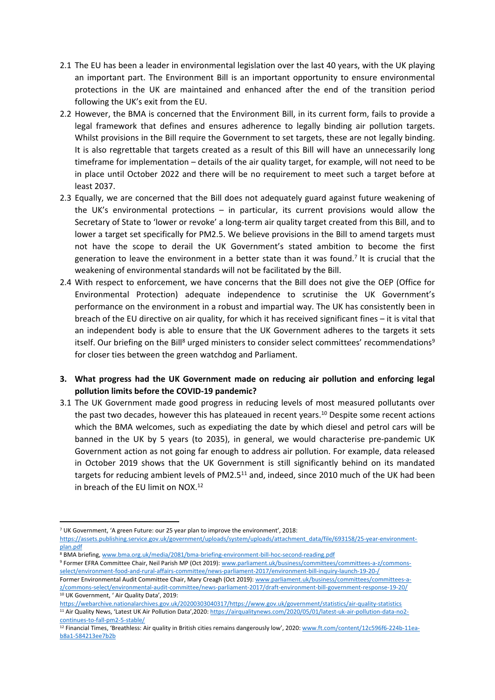- 2.1 The EU has been a leader in environmental legislation over the last 40 years, with the UK playing an important part. The Environment Bill is an important opportunity to ensure environmental protections in the UK are maintained and enhanced after the end of the transition period following the UK's exit from the EU.
- 2.2 However, the BMA is concerned that the Environment Bill, in its current form, fails to provide a legal framework that defines and ensures adherence to legally binding air pollution targets. Whilst provisions in the Bill require the Government to set targets, these are not legally binding. It is also regrettable that targets created as a result of this Bill will have an unnecessarily long timeframe for implementation – details of the air quality target, for example, will not need to be in place until October 2022 and there will be no requirement to meet such a target before at least 2037.
- 2.3 Equally, we are concerned that the Bill does not adequately guard against future weakening of the UK's environmental protections – in particular, its current provisions would allow the Secretary of State to 'lower or revoke' a long-term air quality target created from this Bill, and to lower a target set specifically for PM2.5. We believe provisions in the Bill to amend targets must not have the scope to derail the UK Government's stated ambition to become the first generation to leave the environment in a better state than it was found.<sup>7</sup> It is crucial that the weakening of environmental standards will not be facilitated by the Bill.
- 2.4 With respect to enforcement, we have concerns that the Bill does not give the OEP (Office for Environmental Protection) adequate independence to scrutinise the UK Government's performance on the environment in a robust and impartial way. The UK has consistently been in breach of the EU directive on air quality, for which it has received significant fines – it is vital that an independent body is able to ensure that the UK Government adheres to the targets it sets itself. Our briefing on the Bill<sup>8</sup> urged ministers to consider select committees' recommendations<sup>9</sup> for closer ties between the green watchdog and Parliament.
- **3. What progress had the UK Government made on reducing air pollution and enforcing legal pollution limits before the COVID-19 pandemic?**
- 3.1 The UK Government made good progress in reducing levels of most measured pollutants over the past two decades, however this has plateaued in recent years.<sup>10</sup> Despite some recent actions which the BMA welcomes, such as expediating the date by which diesel and petrol cars will be banned in the UK by 5 years (to 2035), in general, we would characterise pre-pandemic UK Government action as not going far enough to address air pollution. For example, data released in October 2019 shows that the UK Government is still significantly behind on its mandated targets for reducing ambient levels of PM2.5<sup>11</sup> and, indeed, since 2010 much of the UK had been in breach of the EU limit on NOX.<sup>12</sup>

9 Former EFRA Committee Chair, Neil Parish MP (Oct 2019): [www.parliament.uk/business/committees/committees-a-z/commons](http://www.parliament.uk/business/committees/committees-a-z/commons-select/environment-food-and-rural-affairs-committee/news-parliament-2017/environment-bill-inquiry-launch-19-20-/)[select/environment-food-and-rural-affairs-committee/news-parliament-2017/environment-bill-inquiry-launch-19-20-/](http://www.parliament.uk/business/committees/committees-a-z/commons-select/environment-food-and-rural-affairs-committee/news-parliament-2017/environment-bill-inquiry-launch-19-20-/) 

<sup>7</sup> UK Government, 'A green Future: our 25 year plan to improve the environment', 2018:

[https://assets.publishing.service.gov.uk/government/uploads/system/uploads/attachment\\_data/file/693158/25-year-environment](https://assets.publishing.service.gov.uk/government/uploads/system/uploads/attachment_data/file/693158/25-year-environment-plan.pdf)[plan.pdf](https://assets.publishing.service.gov.uk/government/uploads/system/uploads/attachment_data/file/693158/25-year-environment-plan.pdf) 

<sup>8</sup> BMA briefing, [www.bma.org.uk/media/2081/bma-briefing-environment-bill-hoc-second-reading.pdf](http://www.bma.org.uk/media/2081/bma-briefing-environment-bill-hoc-second-reading.pdf)

Former Environmental Audit Committee Chair, Mary Creagh (Oct 2019): [www.parliament.uk/business/committees/committees-a](http://www.parliament.uk/business/committees/committees-a-z/commons-select/environmental-audit-committee/news-parliament-2017/draft-environment-bill-government-response-19-20/)[z/commons-select/environmental-audit-committee/news-parliament-2017/draft-environment-bill-government-response-19-20/](http://www.parliament.uk/business/committees/committees-a-z/commons-select/environmental-audit-committee/news-parliament-2017/draft-environment-bill-government-response-19-20/)  10 UK Government, ' Air Quality Data', 2019:

[https://webarchive.nationalarchives.gov.uk/20200303040317/https://www.gov.uk/government/statistics/air-quality-statistics](https://webarchive.nationalarchives.gov.uk/20200303040317/https:/www.gov.uk/government/statistics/air-quality-statistics) <sup>11</sup> Air Quality News, 'Latest UK Air Pollution Data',2020: [https://airqualitynews.com/2020/05/01/latest-uk-air-pollution-data-no2](https://airqualitynews.com/2020/05/01/latest-uk-air-pollution-data-no2-continues-to-fall-pm2-5-stable/) [continues-to-fall-pm2-5-stable/](https://airqualitynews.com/2020/05/01/latest-uk-air-pollution-data-no2-continues-to-fall-pm2-5-stable/)

<sup>12</sup> Financial Times, 'Breathless: Air quality in British cities remains dangerously low', 2020: [www.ft.com/content/12c596f6-224b-11ea](http://www.ft.com/content/12c596f6-224b-11ea-b8a1-584213ee7b2b)[b8a1-584213ee7b2b](http://www.ft.com/content/12c596f6-224b-11ea-b8a1-584213ee7b2b)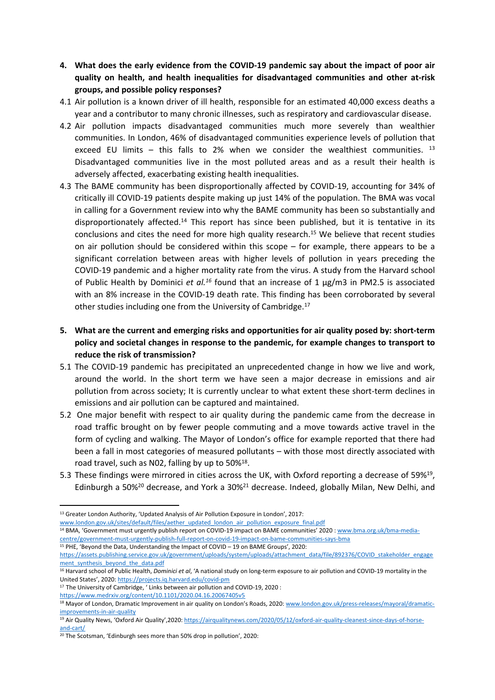- **4. What does the early evidence from the COVID-19 pandemic say about the impact of poor air quality on health, and health inequalities for disadvantaged communities and other at-risk groups, and possible policy responses?**
- 4.1 Air pollution is a known driver of ill health, responsible for an estimated 40,000 excess deaths a year and a contributor to many chronic illnesses, such as respiratory and cardiovascular disease.
- 4.2 Air pollution impacts disadvantaged communities much more severely than wealthier communities. In London, 46% of disadvantaged communities experience levels of pollution that exceed EU limits  $-$  this falls to 2% when we consider the wealthiest communities.  $13$ Disadvantaged communities live in the most polluted areas and as a result their health is adversely affected, exacerbating existing health inequalities.
- 4.3 The BAME community has been disproportionally affected by COVID-19, accounting for 34% of critically ill COVID-19 patients despite making up just 14% of the population. The BMA was vocal in calling for a Government review into why the BAME community has been so substantially and disproportionately affected.<sup>14</sup> This report has since been published, but it is tentative in its conclusions and cites the need for more high quality research.<sup>15</sup> We believe that recent studies on air pollution should be considered within this scope – for example, there appears to be a significant correlation between areas with higher levels of pollution in years preceding the COVID-19 pandemic and a higher mortality rate from the virus. A study from the Harvard school of Public Health by Dominici *et al.<sup>16</sup>* found that an increase of 1 μg/m3 in PM2.5 is associated with an 8% increase in the COVID-19 death rate. This finding has been corroborated by several other studies including one from the University of Cambridge.<sup>17</sup>
- **5. What are the current and emerging risks and opportunities for air quality posed by: short-term policy and societal changes in response to the pandemic, for example changes to transport to reduce the risk of transmission?**
- 5.1 The COVID-19 pandemic has precipitated an unprecedented change in how we live and work, around the world. In the short term we have seen a major decrease in emissions and air pollution from across society; It is currently unclear to what extent these short-term declines in emissions and air pollution can be captured and maintained.
- 5.2 One major benefit with respect to air quality during the pandemic came from the decrease in road traffic brought on by fewer people commuting and a move towards active travel in the form of cycling and walking. The Mayor of London's office for example reported that there had been a fall in most categories of measured pollutants – with those most directly associated with road travel, such as N02, falling by up to 50%<sup>18</sup>.
- 5.3 These findings were mirrored in cities across the UK, with Oxford reporting a decrease of 59%<sup>19</sup>, Edinburgh a 50%<sup>20</sup> decrease, and York a 30%<sup>21</sup> decrease. Indeed, globally Milan, New Delhi, and

<https://www.medrxiv.org/content/10.1101/2020.04.16.20067405v5>

<sup>&</sup>lt;sup>13</sup> Greater London Authority, 'Updated Analysis of Air Pollution Exposure in London', 2017:

[www.london.gov.uk/sites/default/files/aether\\_updated\\_london\\_air\\_pollution\\_exposure\\_final.pdf](http://www.london.gov.uk/sites/default/files/aether_updated_london_air_pollution_exposure_final.pdf)

<sup>&</sup>lt;sup>14</sup> BMA, 'Government must urgently publish report on COVID-19 impact on BAME communities' 2020 : [www.bma.org.uk/bma-media](http://www.bma.org.uk/bma-media-centre/government-must-urgently-publish-full-report-on-covid-19-impact-on-bame-communities-says-bma)[centre/government-must-urgently-publish-full-report-on-covid-19-impact-on-bame-communities-says-bma](http://www.bma.org.uk/bma-media-centre/government-must-urgently-publish-full-report-on-covid-19-impact-on-bame-communities-says-bma)

<sup>15</sup> PHE, 'Beyond the Data, Understanding the Impact of COVID – 19 on BAME Groups', 2020:

[https://assets.publishing.service.gov.uk/government/uploads/system/uploads/attachment\\_data/file/892376/COVID\\_stakeholder\\_engage](https://assets.publishing.service.gov.uk/government/uploads/system/uploads/attachment_data/file/892376/COVID_stakeholder_engagement_synthesis_beyond_the_data.pdf) [ment\\_synthesis\\_beyond\\_the\\_data.pdf](https://assets.publishing.service.gov.uk/government/uploads/system/uploads/attachment_data/file/892376/COVID_stakeholder_engagement_synthesis_beyond_the_data.pdf)

<sup>16</sup> Harvard school of Public Health, *Dominici et al*, 'A national study on long-term exposure to air pollution and COVID-19 mortality in the United States', 2020: <https://projects.iq.harvard.edu/covid-pm>

<sup>&</sup>lt;sup>17</sup> The University of Cambridge, 'Links between air pollution and COVID-19, 2020 :

<sup>18</sup> Mayor of London, Dramatic Improvement in air quality on London's Roads, 2020: [www.london.gov.uk/press-releases/mayoral/dramatic](http://www.london.gov.uk/press-releases/mayoral/dramatic-improvements-in-air-quality)[improvements-in-air-quality](http://www.london.gov.uk/press-releases/mayoral/dramatic-improvements-in-air-quality)

<sup>19</sup> Air Quality News, 'Oxford Air Quality',2020: [https://airqualitynews.com/2020/05/12/oxford-air-quality-cleanest-since-days-of-horse](https://airqualitynews.com/2020/05/12/oxford-air-quality-cleanest-since-days-of-horse-and-cart/)[and-cart/](https://airqualitynews.com/2020/05/12/oxford-air-quality-cleanest-since-days-of-horse-and-cart/)

<sup>20</sup> The Scotsman, 'Edinburgh sees more than 50% drop in pollution', 2020: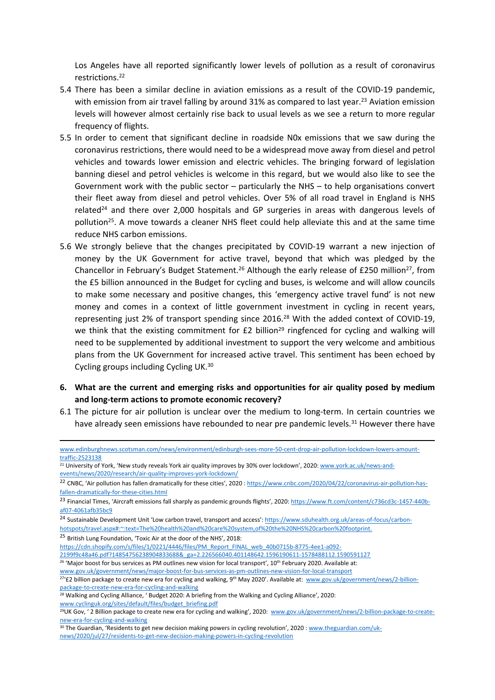Los Angeles have all reported significantly lower levels of pollution as a result of coronavirus restrictions.<sup>22</sup>

- 5.4 There has been a similar decline in aviation emissions as a result of the COVID-19 pandemic, with emission from air travel falling by around 31% as compared to last year.<sup>23</sup> Aviation emission levels will however almost certainly rise back to usual levels as we see a return to more regular frequency of flights.
- 5.5 In order to cement that significant decline in roadside N0x emissions that we saw during the coronavirus restrictions, there would need to be a widespread move away from diesel and petrol vehicles and towards lower emission and electric vehicles. The bringing forward of legislation banning diesel and petrol vehicles is welcome in this regard, but we would also like to see the Government work with the public sector – particularly the NHS – to help organisations convert their fleet away from diesel and petrol vehicles. Over 5% of all road travel in England is NHS related<sup>24</sup> and there over 2,000 hospitals and GP surgeries in areas with dangerous levels of pollution<sup>25</sup>. A move towards a cleaner NHS fleet could help alleviate this and at the same time reduce NHS carbon emissions.
- 5.6 We strongly believe that the changes precipitated by COVID-19 warrant a new injection of money by the UK Government for active travel, beyond that which was pledged by the Chancellor in February's Budget Statement.<sup>26</sup> Although the early release of £250 million<sup>27</sup>, from the £5 billion announced in the Budget for cycling and buses, is welcome and will allow councils to make some necessary and positive changes, this 'emergency active travel fund' is not new money and comes in a context of little government investment in cycling in recent years, representing just 2% of transport spending since 2016.<sup>28</sup> With the added context of COVID-19, we think that the existing commitment for  $E2$  billion<sup>29</sup> ringfenced for cycling and walking will need to be supplemented by additional investment to support the very welcome and ambitious plans from the UK Government for increased active travel. This sentiment has been echoed by Cycling groups including Cycling UK.<sup>30</sup>
- **6. What are the current and emerging risks and opportunities for air quality posed by medium and long-term actions to promote economic recovery?**
- 6.1 The picture for air pollution is unclear over the medium to long-term. In certain countries we have already seen emissions have rebounded to near pre pandemic levels.<sup>31</sup> However there have

<sup>25</sup> British Lung Foundation, 'Toxic Air at the door of the NHS', 2018:

[https://cdn.shopify.com/s/files/1/0221/4446/files/PM\\_Report\\_FINAL\\_web\\_40b0715b-8775-4ee1-a092-](https://cdn.shopify.com/s/files/1/0221/4446/files/PM_Report_FINAL_web_40b0715b-8775-4ee1-a092-2199f9c48a46.pdf?14854756238904833688&_ga=2.226566040.401148642.1596190611-1578488112.1590591127)

[2199f9c48a46.pdf?14854756238904833688&\\_ga=2.226566040.401148642.1596190611-1578488112.1590591127](https://cdn.shopify.com/s/files/1/0221/4446/files/PM_Report_FINAL_web_40b0715b-8775-4ee1-a092-2199f9c48a46.pdf?14854756238904833688&_ga=2.226566040.401148642.1596190611-1578488112.1590591127)

<sup>26</sup> 'Major boost for bus services as PM outlines new vision for local transport', 10<sup>th</sup> February 2020. Available at:

[www.gov.uk/government/news/major-boost-for-bus-services-as-pm-outlines-new-vision-for-local-transport](http://www.gov.uk/government/news/major-boost-for-bus-services-as-pm-outlines-new-vision-for-local-transport) <sup>27</sup>'£2 billion package to create new era for cycling and walking, 9<sup>th</sup> May 2020'. Available at: [www.gov.uk/government/news/2-billion](http://www.gov.uk/government/news/2-billion-package-to-create-new-era-for-cycling-and-walking)[package-to-create-new-era-for-cycling-and-walking](http://www.gov.uk/government/news/2-billion-package-to-create-new-era-for-cycling-and-walking)

[www.edinburghnews.scotsman.com/news/environment/edinburgh-sees-more-50-cent-drop-air-pollution-lockdown-lowers-amount](http://www.edinburghnews.scotsman.com/news/environment/edinburgh-sees-more-50-cent-drop-air-pollution-lockdown-lowers-amount-traffic-2523138)[traffic-2523138](http://www.edinburghnews.scotsman.com/news/environment/edinburgh-sees-more-50-cent-drop-air-pollution-lockdown-lowers-amount-traffic-2523138)

<sup>&</sup>lt;sup>21</sup> University of York, 'New study reveals York air quality improves by 30% over lockdown', 2020: [www.york.ac.uk/news-and](http://www.york.ac.uk/news-and-events/news/2020/research/air-quality-improves-york-lockdown/)[events/news/2020/research/air-quality-improves-york-lockdown/](http://www.york.ac.uk/news-and-events/news/2020/research/air-quality-improves-york-lockdown/)

<sup>&</sup>lt;sup>22</sup> CNBC, 'Air pollution has fallen dramatically for these cities', 2020 : [https://www.cnbc.com/2020/04/22/coronavirus-air-pollution-has](https://www.cnbc.com/2020/04/22/coronavirus-air-pollution-has-fallen-dramatically-for-these-cities.html)[fallen-dramatically-for-these-cities.html](https://www.cnbc.com/2020/04/22/coronavirus-air-pollution-has-fallen-dramatically-for-these-cities.html)

<sup>&</sup>lt;sup>23</sup> Financial Times, 'Aircraft emissions fall sharply as pandemic grounds flights', 2020: [https://www.ft.com/content/c736cd3c-1457-440b](https://www.ft.com/content/c736cd3c-1457-440b-af07-4061afb35bc9)[af07-4061afb35bc9](https://www.ft.com/content/c736cd3c-1457-440b-af07-4061afb35bc9)

<sup>&</sup>lt;sup>24</sup> Sustainable Development Unit 'Low carbon travel, transport and access': [https://www.sduhealth.org.uk/areas-of-focus/carbon](https://www.sduhealth.org.uk/areas-of-focus/carbon-hotspots/travel.aspx#:~:text=The%20health%20and%20care%20system,of%20the%20NHS%20carbon%20footprint.)[hotspots/travel.aspx#:~:text=The%20health%20and%20care%20system,of%20the%20NHS%20carbon%20footprint.](https://www.sduhealth.org.uk/areas-of-focus/carbon-hotspots/travel.aspx#:~:text=The%20health%20and%20care%20system,of%20the%20NHS%20carbon%20footprint.)

<sup>&</sup>lt;sup>28</sup> Walking and Cycling Alliance, 'Budget 2020: A briefing from the Walking and Cycling Alliance', 2020: [www.cyclinguk.org/sites/default/files/budget\\_briefing.pdf](http://www.cyclinguk.org/sites/default/files/budget_briefing.pdf)

<sup>&</sup>lt;sup>29</sup>UK Gov, ' 2 Billion package to create new era for cycling and walking', 2020: [www.gov.uk/government/news/2-billion-package-to-create](http://www.gov.uk/government/news/2-billion-package-to-create-new-era-for-cycling-and-walking)[new-era-for-cycling-and-walking](http://www.gov.uk/government/news/2-billion-package-to-create-new-era-for-cycling-and-walking)

<sup>30</sup> The Guardian, 'Residents to get new decision making powers in cycling revolution', 2020 : [www.theguardian.com/uk](http://www.theguardian.com/uk-news/2020/jul/27/residents-to-get-new-decision-making-powers-in-cycling-revolution)[news/2020/jul/27/residents-to-get-new-decision-making-powers-in-cycling-revolution](http://www.theguardian.com/uk-news/2020/jul/27/residents-to-get-new-decision-making-powers-in-cycling-revolution)